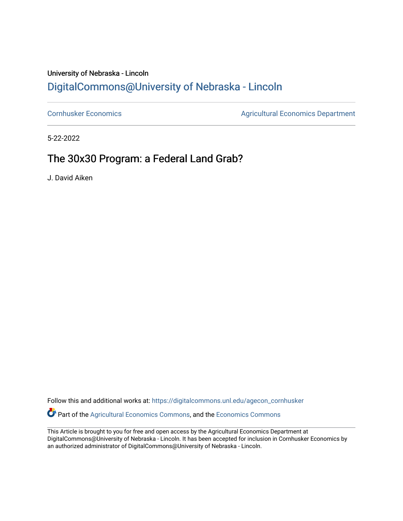## University of Nebraska - Lincoln [DigitalCommons@University of Nebraska - Lincoln](https://digitalcommons.unl.edu/)

[Cornhusker Economics](https://digitalcommons.unl.edu/agecon_cornhusker) **Agricultural Economics** Department

5-22-2022

# The 30x30 Program: a Federal Land Grab?

J. David Aiken

Follow this and additional works at: [https://digitalcommons.unl.edu/agecon\\_cornhusker](https://digitalcommons.unl.edu/agecon_cornhusker?utm_source=digitalcommons.unl.edu%2Fagecon_cornhusker%2F1159&utm_medium=PDF&utm_campaign=PDFCoverPages)  Part of the [Agricultural Economics Commons,](https://network.bepress.com/hgg/discipline/1225?utm_source=digitalcommons.unl.edu%2Fagecon_cornhusker%2F1159&utm_medium=PDF&utm_campaign=PDFCoverPages) and the [Economics Commons](https://network.bepress.com/hgg/discipline/340?utm_source=digitalcommons.unl.edu%2Fagecon_cornhusker%2F1159&utm_medium=PDF&utm_campaign=PDFCoverPages) 

This Article is brought to you for free and open access by the Agricultural Economics Department at DigitalCommons@University of Nebraska - Lincoln. It has been accepted for inclusion in Cornhusker Economics by an authorized administrator of DigitalCommons@University of Nebraska - Lincoln.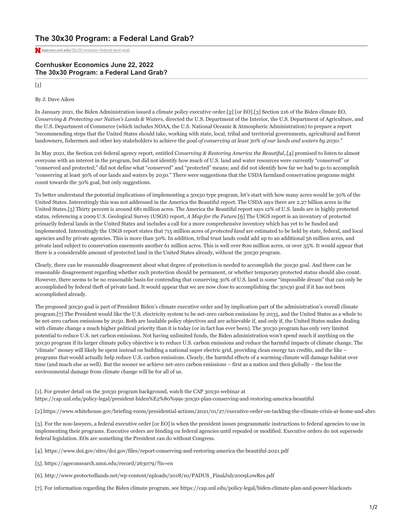**agecon.unl.edu**[/30x30-program-federal-land-grab](https://agecon.unl.edu/30x30-program-federal-land-grab)

### **Cornhusker Economics June 22, 2022 The 30x30 Program: a Federal Land Grab?**

 $\lceil 1 \rceil$ 

#### By J. Dave Aiken

In January 2021, the Biden Administration issued a climate policy executive order.[2] [or EO].[3] Section 216 of the Biden climate EO, *Conserving & Protecting our Nation's Lands & Waters*, directed the U.S. Department of the Interior, the U.S. Department of Agriculture, and the U.S. Department of Commerce (which includes NOAA, the U.S. National Oceanic & Atmospheric Administration) to prepare a report "recommending steps that the United States should take, working with state, local, tribal and territorial governments, agricultural and forest landowners, fishermen and other key stakeholders to achieve the *goal of conserving at least 30% of our lands and waters by 2030."*

In May 2021, the Section 216 federal agency report, entitled *Conserving & Restoring America the Beautiful*,.[4] promised to listen to almost everyone with an interest in the program, but did not identify how much of U.S. land and water resources were currently "conserved" or "conserved and protected;" did not define what "conserved" and "protected" means; and did not identify how far we had to go to accomplish "conserving at least 30% of our lands and waters by 2030." There were suggestions that the USDA farmland conservation programs might count towards the 30% goal, but only suggestions.

To better understand the potential implications of implementing a 30x30 type program, let's start with how many acres would be 30% of the United States. Interestingly this was not addressed in the America the Beautiful report. The USDA says there are 2.27 billion acres in the United States.[5] Thirty percent is around 681 million acres. The America the Beautiful report says 12% of U.S. lands are in highly protected status, referencing a 2009 U.S. Geological Survey (USGS) report, *A Map for the Future*.[6] The USGS report is an inventory of protected primarily federal lands in the United States and includes a call for a more comprehensive inventory which has yet to be funded and implemented. Interestingly the USGS report states that 715 million acres of *protected land* are estimated to be held by state, federal, and local agencies and by private agencies. This is more than 30%. In addition, tribal trust lands could add up to an additional 56 million acres, and private land subject to conservation easements another 61 million acres. This is well over 800 million acres, or over 35%. It would appear that there is a considerable amount of protected land in the United States already, without the 30x30 program.

Clearly, there can be reasonable disagreement about what degree of protection is needed to accomplish the 30x30 goal. And there can be reasonable disagreement regarding whether such protection should be permanent, or whether temporary protected status should also count. However, there seems to be no reasonable basis for contending that conserving 30% of U.S. land is some "impossible dream" that can only be accomplished by federal theft of private land. It would appear that we are now close to accomplishing the 30x30 goal if it has not been accomplished already.

The proposed 30x30 goal is part of President Biden's climate executive order and by implication part of the administration's overall climate program.[7] The President would like the U.S. electricity system to be net-zero carbon emissions by 2035, and the United States as a whole to be net-zero carbon emissions by 2050. Both are laudable policy objectives and are achievable if, and only if, the United States makes dealing with climate change a much higher political priority than it is today (or in fact has ever been). The 30x30 program has only very limited potential to reduce U.S. net carbon emissions. Not having unlimited funds, the Biden administration won't spend much if anything on the 30x30 program if its larger climate policy objective is to reduce U.S. carbon emissions and reduce the harmful impacts of climate change. The "climate" money will likely be spent instead on building a national super electric grid, providing clean energy tax credits, and the like – programs that would actually help reduce U.S. carbon emissions. Clearly, the harmful effects of a warming climate will damage habitat over time (and much else as well). But the sooner we achieve net-zero carbon emissions – first as a nation and then globally – the less the environmental damage from climate change will be for all of us.

[1]. For greater detail on the 30x30 program background, watch the CAP 30x30 webinar at https://cap.unl.edu/policy‑legal/president‑biden%E2%80%99s‑30x30‑plan‑conserving‑and‑restoring‑america‑beautiful

[2].https://www.whitehouse.gov/briefing-room/presidential-actions/2021/01/27/executive-order-on-tackling-the-climate-crisis-at-home-and-abro

[3]. For the non-lawyers, a federal executive order [or EO] is when the president issues programmatic instructions to federal agencies to use in implementing their programs. Executive orders are binding on federal agencies until repealed or modified. Executive orders do not supersede federal legislation. EOs are something the President can do without Congress.

[4]. https://www.doi.gov/sites/doi.gov/files/report‑conserving‑and‑restoring‑america‑the‑beautiful‑2021.pdf

[5]. https://ageconsearch.umn.edu/record/263079/?ln=en

[6]. http://www.protectedlands.net/wp‑content/uploads/2018/10/PADUS\_FinalJuly2009LowRes.pdf

[7]. For information regarding the Biden climate program, see https://cap.unl.edu/policy‑legal/biden‑climate‑plan‑and‑power‑blackouts